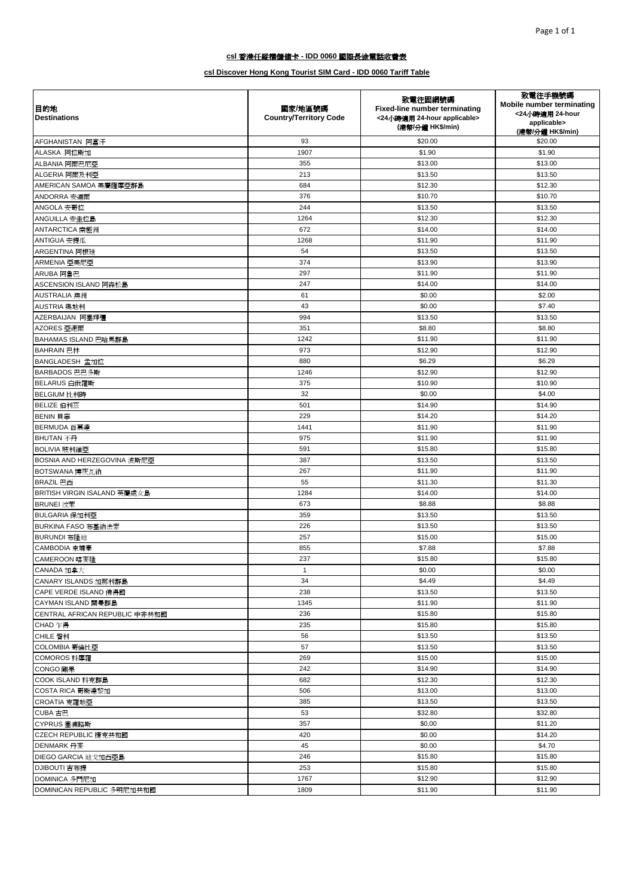| 目的地<br><b>Destinations</b>     | 國家/地區號碼<br><b>Country/Territory Code</b> | 致電往固網號碼<br>Fixed-line number terminating<br><24小時適用 24-hour applicable><br>(港幣/分鐘 HK\$/min) | 致電往手機號碼<br>Mobile number terminating<br><24小時適用 24-hour<br>applicable><br>(港幣/分鐘 HK\$/min) |
|--------------------------------|------------------------------------------|---------------------------------------------------------------------------------------------|--------------------------------------------------------------------------------------------|
| AFGHANISTAN 阿富汗                | 93                                       | \$20.00                                                                                     | \$20.00                                                                                    |
| ALASKA 阿拉斯加                    | 1907                                     | \$1.90                                                                                      | \$1.90                                                                                     |
| ALBANIA 阿爾巴尼亞                  | 355                                      | \$13.00                                                                                     | \$13.00                                                                                    |
| ALGERIA 阿爾及利亞                  | 213                                      | \$13.50                                                                                     | \$13.50                                                                                    |
| AMERICAN SAMOA 美屬薩摩亞群島         | 684                                      | \$12.30                                                                                     | \$12.30                                                                                    |
| ANDORRA 安道爾                    | 376                                      | \$10.70                                                                                     | \$10.70                                                                                    |
| ANGOLA 安哥拉                     | 244                                      | \$13.50                                                                                     | \$13.50                                                                                    |
| ANGUILLA 安圭拉島                  | 1264                                     | \$12.30                                                                                     | \$12.30                                                                                    |
| ANTARCTICA 南極洲                 | 672                                      | \$14.00                                                                                     | \$14.00                                                                                    |
| ANTIGUA 安提瓜                    | 1268                                     | \$11.90                                                                                     | \$11.90                                                                                    |
| ARGENTINA 阿根廷                  | 54                                       | \$13.50                                                                                     | \$13.50                                                                                    |
| ARMENIA 亞美尼亞                   | 374                                      | \$13.90                                                                                     | \$13.90                                                                                    |
| ARUBA 阿魯巴                      | 297                                      | \$11.90                                                                                     | \$11.90                                                                                    |
| ASCENSION ISLAND 阿森松島          | 247                                      | \$14.00                                                                                     | \$14.00                                                                                    |
| AUSTRALIA 澳洲                   | 61                                       | \$0.00                                                                                      | \$2.00                                                                                     |
| AUSTRIA 奥地利                    | 43                                       | \$0.00                                                                                      | \$7.40                                                                                     |
|                                | 994                                      | \$13.50                                                                                     | \$13.50                                                                                    |
| AZERBAIJAN 阿塞拜彊<br>AZORES 亞速爾  | 351                                      | \$8.80                                                                                      | \$8.80                                                                                     |
|                                | 1242                                     | \$11.90                                                                                     | \$11.90                                                                                    |
| BAHAMAS ISLAND 巴哈馬群島           | 973                                      |                                                                                             |                                                                                            |
| BAHRAIN 巴林                     |                                          | \$12.90                                                                                     | \$12.90                                                                                    |
| BANGLADESH 孟加拉                 | 880                                      | \$6.29                                                                                      | \$6.29                                                                                     |
| BARBADOS 巴巴多斯                  | 1246                                     | \$12.90                                                                                     | \$12.90                                                                                    |
| BELARUS 白俄羅斯                   | 375                                      | \$10.90                                                                                     | \$10.90                                                                                    |
| BELGIUM 比利時                    | 32                                       | \$0.00                                                                                      | \$4.00                                                                                     |
| BELIZE 伯利茲                     | 501                                      | \$14.90                                                                                     | \$14.90                                                                                    |
| BENIN 貝寧                       | 229                                      | \$14.20                                                                                     | \$14.20                                                                                    |
| BERMUDA 百慕達                    | 1441                                     | \$11.90                                                                                     | \$11.90                                                                                    |
| BHUTAN 不丹                      | 975                                      | \$11.90                                                                                     | \$11.90                                                                                    |
| BOLIVIA 玻利維亞                   | 591                                      | \$15.80                                                                                     | \$15.80                                                                                    |
| BOSNIA AND HERZEGOVINA 波斯尼亞    | 387                                      | \$13.50                                                                                     | \$13.50                                                                                    |
| BOTSWANA 博茨瓦納                  | 267                                      | \$11.90                                                                                     | \$11.90                                                                                    |
| BRAZIL 巴西                      | 55                                       | \$11.30                                                                                     | \$11.30                                                                                    |
| BRITISH VIRGIN ISALAND 英屬處女島   | 1284                                     | \$14.00                                                                                     | \$14.00                                                                                    |
| BRUNEI 汶萊                      | 673                                      | \$8.88                                                                                      | \$8.88                                                                                     |
| BULGARIA 保加利亞                  | 359                                      | \$13.50                                                                                     | \$13.50                                                                                    |
| BURKINA FASO 布基納法索             | 226                                      | \$13.50                                                                                     | \$13.50                                                                                    |
| BURUNDI 布隆廸                    | 257                                      | \$15.00                                                                                     | \$15.00                                                                                    |
| CAMBODIA 柬埔寨                   | 855                                      | \$7.88                                                                                      | \$7.88                                                                                     |
| CAMEROON 喀麥隆                   | 237                                      | \$15.80                                                                                     | \$15.80                                                                                    |
| CANADA 加拿大                     | 1                                        | \$0.00                                                                                      | \$0.00                                                                                     |
| CANARY ISLANDS 加那利群島           | 34                                       | \$4.49                                                                                      | \$4.49                                                                                     |
| CAPE VERDE ISLAND 佛得國          | 238                                      | \$13.50                                                                                     | \$13.50                                                                                    |
| CAYMAN ISLAND 開曼群島             | 1345                                     | \$11.90                                                                                     | \$11.90                                                                                    |
| CENTRAL AFRICAN REPUBLIC 中非共和國 | 236                                      | \$15.80                                                                                     | \$15.80                                                                                    |
| CHAD 乍得                        | 235                                      | \$15.80                                                                                     | \$15.80                                                                                    |
| CHILE 智利                       | 56                                       | \$13.50                                                                                     | \$13.50                                                                                    |
| COLOMBIA 哥倫比亞                  | 57                                       | \$13.50                                                                                     | \$13.50                                                                                    |
| COMOROS 科摩羅                    | 269                                      | \$15.00                                                                                     | \$15.00                                                                                    |
| CONGO 剛果                       | 242                                      | \$14.90                                                                                     | \$14.90                                                                                    |
| COOK ISLAND 科克群島               | 682                                      | \$12.30                                                                                     | \$12.30                                                                                    |
| COSTA RICA 哥斯達黎加               | 506                                      | \$13.00                                                                                     | \$13.00                                                                                    |
| CROATIA 克羅地亞                   | 385                                      | \$13.50                                                                                     | \$13.50                                                                                    |
| CUBA 古巴                        | 53                                       | \$32.80                                                                                     | \$32.80                                                                                    |
| CYPRUS 塞浦路斯                    | 357                                      | \$0.00                                                                                      | \$11.20                                                                                    |
| CZECH REPUBLIC 捷克共和國           | 420                                      | \$0.00                                                                                      | \$14.20                                                                                    |
| DENMARK 丹麥                     | 45                                       | \$0.00                                                                                      | \$4.70                                                                                     |
| DIEGO GARCIA 迪戈加西亞島            | 246                                      | \$15.80                                                                                     | \$15.80                                                                                    |
| DJIBOUTI 吉布提                   | 253                                      | \$15.80                                                                                     | \$15.80                                                                                    |
| DOMINICA 多門尼加                  | 1767                                     | \$12.90                                                                                     | \$12.90                                                                                    |
| DOMINICAN REPUBLIC 多明尼加共和國     | 1809                                     | \$11.90                                                                                     | \$11.90                                                                                    |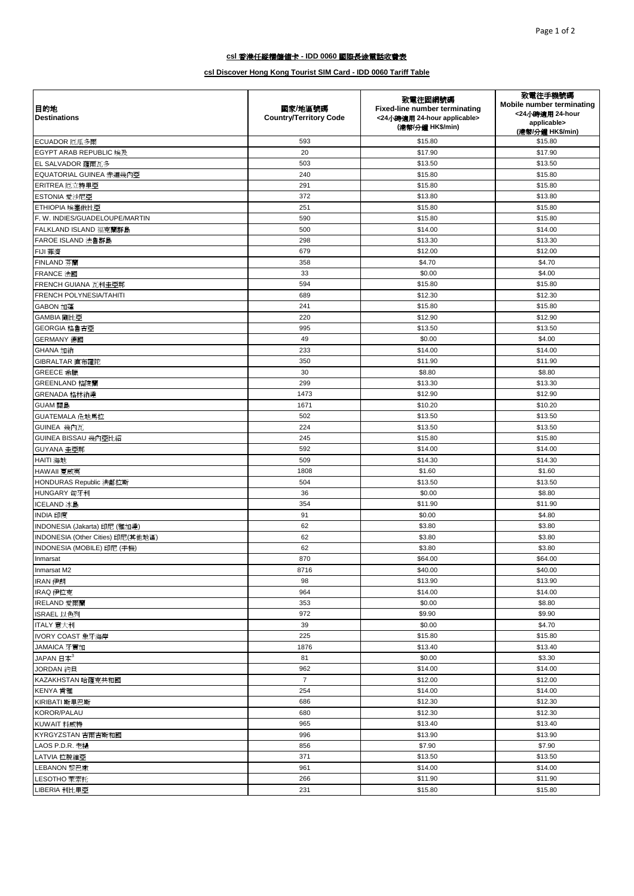| 目的地<br><b>Destinations</b>                      | 國家/地區號碼<br><b>Country/Territory Code</b> | 致電往固網號碼<br>Fixed-line number terminating<br><24小時適用 24-hour applicable><br>(港幣/分鐘 HK\$/min) | 致電往手機號碼<br>Mobile number terminating<br><24小時適用 24-hour<br>applicable><br>(港幣/分鐘 HK\$/min) |
|-------------------------------------------------|------------------------------------------|---------------------------------------------------------------------------------------------|--------------------------------------------------------------------------------------------|
| ECUADOR 厄瓜多爾                                    | 593                                      | \$15.80                                                                                     | \$15.80                                                                                    |
| <b>EGYPT ARAB REPUBLIC 埃及</b>                   | 20                                       | \$17.90                                                                                     | \$17.90                                                                                    |
| EL SALVADOR 薩爾瓦多                                | 503                                      | \$13.50                                                                                     | \$13.50                                                                                    |
| EQUATORIAL GUINEA 赤道幾內亞                         | 240                                      | \$15.80                                                                                     | \$15.80                                                                                    |
| ERITREA 厄立特里亞                                   | 291                                      | \$15.80                                                                                     | \$15.80                                                                                    |
| ESTONIA 愛沙尼亞                                    | 372                                      | \$13.80                                                                                     | \$13.80                                                                                    |
| ETHIOPIA 埃塞俄比亞                                  | 251                                      | \$15.80                                                                                     | \$15.80                                                                                    |
| F. W. INDIES/GUADELOUPE/MARTIN                  | 590                                      | \$15.80                                                                                     | \$15.80                                                                                    |
| FALKLAND ISLAND 福克蘭群島                           | 500                                      | \$14.00                                                                                     | \$14.00                                                                                    |
| FAROE ISLAND 法魯群島                               | 298                                      | \$13.30                                                                                     | \$13.30                                                                                    |
| FIJI 菲濟                                         | 679                                      | \$12.00                                                                                     | \$12.00                                                                                    |
| FINLAND 芬蘭                                      | 358                                      | \$4.70                                                                                      | \$4.70                                                                                     |
| FRANCE 法國                                       | 33                                       | \$0.00                                                                                      | \$4.00                                                                                     |
| FRENCH GUIANA 瓦利圭亞那                             | 594                                      | \$15.80                                                                                     | \$15.80                                                                                    |
| FRENCH POLYNESIA/TAHITI                         | 689                                      | \$12.30                                                                                     | \$12.30                                                                                    |
| GABON 加蓬                                        | 241                                      | \$15.80                                                                                     | \$15.80                                                                                    |
| GAMBIA 剛比亞                                      | 220                                      | \$12.90                                                                                     | \$12.90                                                                                    |
| GEORGIA 格魯吉亞                                    | 995                                      | \$13.50                                                                                     | \$13.50                                                                                    |
| GERMANY 德國                                      | 49                                       | \$0.00                                                                                      | \$4.00                                                                                     |
| GHANA 加納                                        | 233                                      | \$14.00                                                                                     | \$14.00                                                                                    |
| GIBRALTAR 直布羅陀                                  | 350                                      | \$11.90                                                                                     | \$11.90                                                                                    |
| GREECE 希臘                                       | 30                                       | \$8.80                                                                                      | \$8.80                                                                                     |
| GREENLAND 格陵蘭                                   | 299                                      | \$13.30                                                                                     | \$13.30                                                                                    |
| GRENADA 格林納達                                    | 1473                                     | \$12.90                                                                                     | \$12.90                                                                                    |
| GUAM 關島                                         | 1671                                     | \$10.20                                                                                     | \$10.20                                                                                    |
| GUATEMALA 危地馬拉                                  | 502                                      | \$13.50                                                                                     | \$13.50                                                                                    |
| GUINEA 幾內瓦                                      | 224                                      | \$13.50                                                                                     | \$13.50                                                                                    |
| GUINEA BISSAU 幾內亞比紹                             | 245                                      | \$15.80                                                                                     | \$15.80                                                                                    |
| GUYANA 圭亞那                                      | 592                                      | \$14.00                                                                                     | \$14.00                                                                                    |
| HAITI 海地                                        | 509                                      | \$14.30                                                                                     | \$14.30                                                                                    |
| HAWAII 夏威夷                                      | 1808                                     | \$1.60                                                                                      | \$1.60                                                                                     |
| HONDURAS Republic 洪都拉斯                          | 504                                      | \$13.50                                                                                     | \$13.50                                                                                    |
| HUNGARY 匈牙利                                     | 36                                       | \$0.00                                                                                      | \$8.80                                                                                     |
| ICELAND 冰島                                      | 354                                      | \$11.90                                                                                     | \$11.90                                                                                    |
| INDIA 印度                                        | 91                                       | \$0.00                                                                                      | \$4.80                                                                                     |
| INDONESIA (Jakarta) 印尼 (雅加達)                    | 62                                       | \$3.80                                                                                      | \$3.80                                                                                     |
| INDONESIA (Other Cities) 印尼(其他地區)               | 62                                       | \$3.80                                                                                      | \$3.80                                                                                     |
| INDONESIA (MOBILE) 印尼 (手機)                      | 62                                       | \$3.80                                                                                      | \$3.80                                                                                     |
| Inmarsat                                        | 870                                      | \$64.00                                                                                     | \$64.00                                                                                    |
| Inmarsat M2                                     | 8716                                     | \$40.00                                                                                     | \$40.00                                                                                    |
| IRAN 伊朗                                         | 98<br>964                                | \$13.90<br>\$14.00                                                                          | \$13.90<br>\$14.00                                                                         |
| IRAQ 伊拉克<br>IRELAND 愛爾蘭                         | 353                                      | \$0.00                                                                                      | \$8.80                                                                                     |
| ISRAEL 以色列                                      | 972                                      | \$9.90                                                                                      | \$9.90                                                                                     |
| ITALY 意大利                                       | 39                                       | \$0.00                                                                                      | \$4.70                                                                                     |
| IVORY COAST 象牙海岸                                | 225                                      | \$15.80                                                                                     | \$15.80                                                                                    |
|                                                 | 1876                                     | \$13.40                                                                                     | \$13.40                                                                                    |
| JAMAICA 牙買加<br>JAPAN $\boxplus \&$ <sup>3</sup> | 81                                       | \$0.00                                                                                      | \$3.30                                                                                     |
|                                                 | 962                                      | \$14.00                                                                                     | \$14.00                                                                                    |
| JORDAN 約旦<br>KAZAKHSTAN 哈薩克共和國                  | $\overline{7}$                           | \$12.00                                                                                     | \$12.00                                                                                    |
|                                                 | 254                                      | \$14.00                                                                                     | \$14.00                                                                                    |
| KENYA 肯雅                                        | 686                                      | \$12.30                                                                                     | \$12.30                                                                                    |
| KIRIBATI 斯里巴斯<br>KOROR/PALAU                    | 680                                      | \$12.30                                                                                     | \$12.30                                                                                    |
| KUWAIT 科威特                                      | 965                                      | \$13.40                                                                                     | \$13.40                                                                                    |
|                                                 | 996                                      | \$13.90                                                                                     | \$13.90                                                                                    |
| KYRGYZSTAN 吉爾吉斯和國<br>LAOS P.D.R. 老撾             | 856                                      | \$7.90                                                                                      | \$7.90                                                                                     |
| LATVIA 拉脫維亞                                     | 371                                      | \$13.50                                                                                     | \$13.50                                                                                    |
| LEBANON 黎巴嫩                                     | 961                                      | \$14.00                                                                                     | \$14.00                                                                                    |
| LESOTHO 萊索托                                     | 266                                      | \$11.90                                                                                     | \$11.90                                                                                    |
| LIBERIA 利比里亞                                    | 231                                      | \$15.80                                                                                     | \$15.80                                                                                    |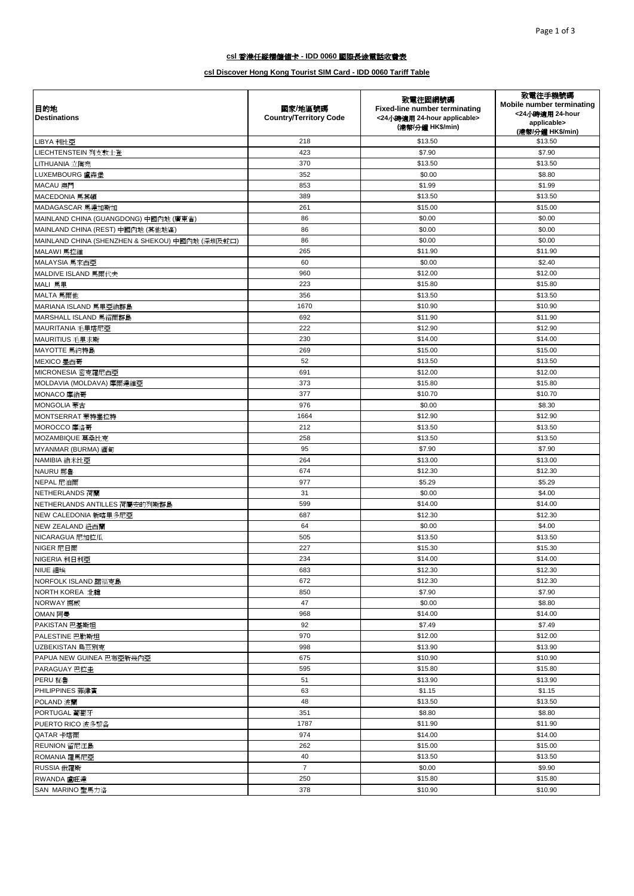| 目的地<br><b>Destinations</b>                      | 國家/地區號碼<br><b>Country/Territory Code</b> | 致電往固網號碼<br>Fixed-line number terminating<br><24小時適用 24-hour applicable><br>(港幣/分鐘 HK\$/min) | 致電往手機號碼<br><b>Mobile number terminating</b><br><24小時適用 24-hour<br>applicable><br>(港幣/分鐘 HK\$/min) |
|-------------------------------------------------|------------------------------------------|---------------------------------------------------------------------------------------------|---------------------------------------------------------------------------------------------------|
| LIBYA 利比亞                                       | 218                                      | \$13.50                                                                                     | \$13.50                                                                                           |
| LIECHTENSTEIN 列支敦士登                             | 423                                      | \$7.90                                                                                      | \$7.90                                                                                            |
| LITHUANIA 立陶宛                                   | 370                                      | \$13.50                                                                                     | \$13.50                                                                                           |
| LUXEMBOURG 盧森堡                                  | 352                                      | \$0.00                                                                                      | \$8.80                                                                                            |
| MACAU 澳門                                        | 853                                      | \$1.99                                                                                      | \$1.99                                                                                            |
| MACEDONIA 馬其頓                                   | 389                                      | \$13.50                                                                                     | \$13.50                                                                                           |
| MADAGASCAR 馬達加斯加                                | 261                                      | \$15.00                                                                                     | \$15.00                                                                                           |
| MAINLAND CHINA (GUANGDONG) 中國內地 (廣東省)           | 86                                       | \$0.00                                                                                      | \$0.00                                                                                            |
| MAINLAND CHINA (REST) 中國內地 (其他地區)               | 86                                       | \$0.00                                                                                      | \$0.00                                                                                            |
| MAINLAND CHINA (SHENZHEN & SHEKOU) 中國內地 (深圳及蛇口) | 86                                       | \$0.00                                                                                      | \$0.00                                                                                            |
| MALAWI 馬拉維                                      | 265                                      | \$11.90                                                                                     | \$11.90                                                                                           |
| MALAYSIA 馬來西亞                                   | 60                                       | \$0.00                                                                                      | \$2.40                                                                                            |
| MALDIVE ISLAND 馬爾代夫                             | 960                                      | \$12.00                                                                                     | \$12.00                                                                                           |
| MALI 馬里                                         | 223                                      | \$15.80                                                                                     | \$15.80                                                                                           |
| MALTA 馬爾他                                       | 356                                      | \$13.50                                                                                     | \$13.50                                                                                           |
| MARIANA ISLAND 馬里亞納群島                           | 1670                                     | \$10.90                                                                                     | \$10.90                                                                                           |
| MARSHALL ISLAND 馬紹爾群島                           | 692                                      | \$11.90                                                                                     | \$11.90                                                                                           |
| MAURITANIA 毛里塔尼亞                                | 222                                      | \$12.90                                                                                     | \$12.90                                                                                           |
| MAURITIUS 毛里求斯                                  | 230                                      | \$14.00                                                                                     | \$14.00                                                                                           |
| MAYOTTE 馬約特島                                    | 269                                      | \$15.00                                                                                     | \$15.00                                                                                           |
| MEXICO 墨西哥                                      | 52                                       | \$13.50                                                                                     | \$13.50                                                                                           |
| MICRONESIA 密克羅尼西亞                               | 691                                      | \$12.00                                                                                     | \$12.00                                                                                           |
| MOLDAVIA (MOLDAVA) 摩爾達維亞                        | 373                                      | \$15.80                                                                                     | \$15.80                                                                                           |
| MONACO 摩納哥                                      | 377                                      | \$10.70                                                                                     | \$10.70                                                                                           |
| MONGOLIA 蒙古                                     | 976                                      | \$0.00                                                                                      | \$8.30                                                                                            |
| MONTSERRAT 蒙特塞拉特                                | 1664                                     | \$12.90                                                                                     | \$12.90                                                                                           |
| MOROCCO 摩洛哥                                     | 212                                      | \$13.50                                                                                     | \$13.50                                                                                           |
| MOZAMBIQUE 莫桑比克                                 | 258                                      | \$13.50                                                                                     | \$13.50                                                                                           |
| MYANMAR (BURMA) 緬甸                              | 95                                       | \$7.90                                                                                      | \$7.90                                                                                            |
| NAMIBIA 納米比亞                                    | 264                                      | \$13.00                                                                                     | \$13.00                                                                                           |
| NAURU 那魯                                        | 674                                      | \$12.30                                                                                     | \$12.30                                                                                           |
| NEPAL 尼泊爾                                       | 977                                      | \$5.29                                                                                      | \$5.29                                                                                            |
| NETHERLANDS 荷蘭                                  | 31                                       | \$0.00                                                                                      | \$4.00                                                                                            |
| NETHERLANDS ANTILLES 荷屬安的列斯群島                   | 599                                      | \$14.00                                                                                     | \$14.00                                                                                           |
| NEW CALEDONIA 新喀里多尼亞                            | 687                                      | \$12.30                                                                                     | \$12.30                                                                                           |
| NEW ZEALAND 紐西蘭                                 | 64                                       | \$0.00                                                                                      | \$4.00                                                                                            |
| NICARAGUA 尼加拉瓜                                  | 505                                      | \$13.50                                                                                     | \$13.50                                                                                           |
| NIGER 尼日爾                                       | 227                                      | \$15.30                                                                                     | \$15.30                                                                                           |
| NIGERIA 利日利亞                                    | 234                                      | \$14.00                                                                                     | \$14.00                                                                                           |
| NIUE 細埃                                         | 683                                      | \$12.30                                                                                     | \$12.30                                                                                           |
| NORFOLK ISLAND 諾福克島                             | 672                                      | \$12.30                                                                                     | \$12.30                                                                                           |
| <b>NORTH KOREA 北韓</b>                           | 850                                      | \$7.90                                                                                      | \$7.90                                                                                            |
| NORWAY 挪威                                       | 47                                       | \$0.00                                                                                      | \$8.80                                                                                            |
| OMAN 阿曼                                         | 968                                      | \$14.00                                                                                     | \$14.00                                                                                           |
| PAKISTAN 巴基斯坦                                   | 92                                       | \$7.49                                                                                      | \$7.49                                                                                            |
| PALESTINE 巴勒斯坦                                  | 970                                      | \$12.00                                                                                     | \$12.00                                                                                           |
| UZBEKISTAN 烏茲別克                                 | 998                                      | \$13.90                                                                                     | \$13.90                                                                                           |
| PAPUA NEW GUINEA 巴布亞新幾內亞                        | 675                                      | \$10.90                                                                                     | \$10.90                                                                                           |
| PARAGUAY 巴拉圭                                    | 595                                      | \$15.80                                                                                     | \$15.80                                                                                           |
| PERU 秘魯                                         | 51                                       | \$13.90                                                                                     | \$13.90                                                                                           |
| PHILIPPINES 菲律賓                                 | 63                                       | \$1.15                                                                                      | \$1.15                                                                                            |
| POLAND 波蘭                                       | 48                                       | \$13.50                                                                                     | \$13.50                                                                                           |
| PORTUGAL 葡萄牙                                    | 351                                      | \$8.80                                                                                      | \$8.80                                                                                            |
| PUERTO RICO 波多黎各                                | 1787                                     | \$11.90                                                                                     | \$11.90                                                                                           |
| QATAR 卡塔爾                                       | 974                                      | \$14.00                                                                                     | \$14.00                                                                                           |
| REUNION 留尼汪島                                    | 262                                      | \$15.00                                                                                     | \$15.00                                                                                           |
| ROMANIA 羅馬尼亞                                    | 40                                       | \$13.50                                                                                     | \$13.50                                                                                           |
| RUSSIA 俄羅斯                                      | $\overline{7}$                           | \$0.00                                                                                      | \$9.90                                                                                            |
| RWANDA 盧旺達                                      | 250                                      | \$15.80                                                                                     | \$15.80                                                                                           |
| SAN MARINO 聖馬力洛                                 | 378                                      | \$10.90                                                                                     | \$10.90                                                                                           |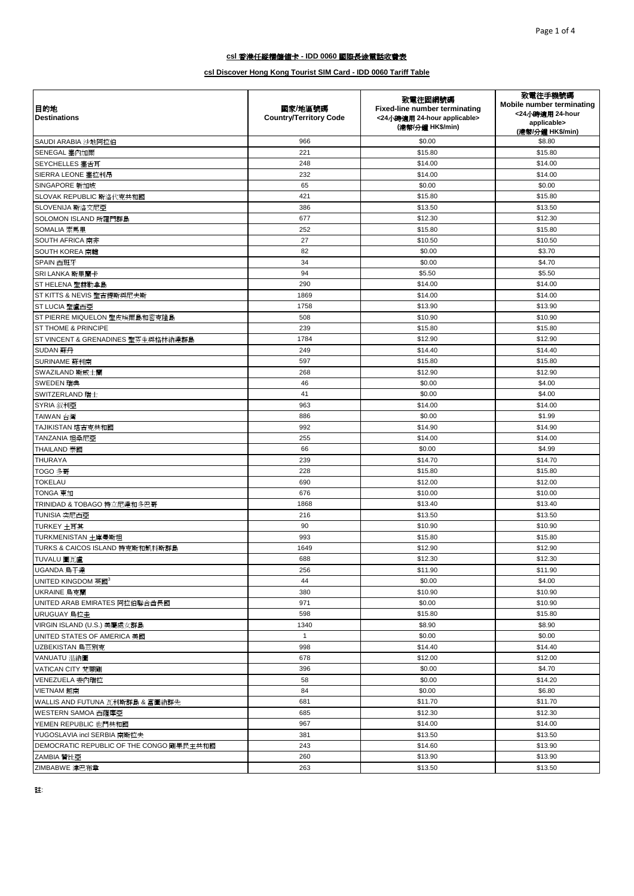| 目的地<br><b>Destinations</b>               | 國家/地區號碼<br><b>Country/Territory Code</b> | 致電往固網號碼<br>Fixed-line number terminating<br><24小時適用 24-hour applicable><br>(港幣/分鐘 HK\$/min) | 致電往手機號碼<br>Mobile number terminating<br><24小時適用 24-hour<br>applicable><br>(港幣/分鐘 HK\$/min) |
|------------------------------------------|------------------------------------------|---------------------------------------------------------------------------------------------|--------------------------------------------------------------------------------------------|
| SAUDI ARABIA 沙地阿拉伯                       | 966                                      | \$0.00                                                                                      | \$8.80                                                                                     |
| SENEGAL 塞內加爾                             | 221                                      | \$15.80                                                                                     | \$15.80                                                                                    |
| SEYCHELLES 塞舌耳                           | 248                                      | \$14.00                                                                                     | \$14.00                                                                                    |
| SIERRA LEONE 塞拉利昂                        | 232                                      | \$14.00                                                                                     | \$14.00                                                                                    |
| SINGAPORE 新加坡                            | 65                                       | \$0.00                                                                                      | \$0.00                                                                                     |
| SLOVAK REPUBLIC 斯洛代克共和國                  | 421                                      | \$15.80                                                                                     | \$15.80                                                                                    |
| SLOVENIJA 斯洛文尼亞                          | 386                                      | \$13.50                                                                                     | \$13.50                                                                                    |
| SOLOMON ISLAND 所羅門群島                     | 677                                      | \$12.30                                                                                     | \$12.30                                                                                    |
| SOMALIA 索馬里                              | 252                                      | \$15.80                                                                                     | \$15.80                                                                                    |
| <b>SOUTH AFRICA 南非</b>                   | 27                                       | \$10.50                                                                                     | \$10.50                                                                                    |
| <b>SOUTH KOREA</b> 南韓                    | 82                                       | \$0.00                                                                                      | \$3.70                                                                                     |
| SPAIN 西班牙                                | 34                                       | \$0.00                                                                                      | \$4.70                                                                                     |
| SRI LANKA 斯里蘭卡                           | 94                                       | \$5.50                                                                                      | \$5.50                                                                                     |
| ST HELENA 聖赫勒拿島                          | 290                                      | \$14.00                                                                                     | \$14.00                                                                                    |
| ST KITTS & NEVIS 聖吉提斯與尼夫斯                | 1869                                     | \$14.00                                                                                     | \$14.00                                                                                    |
| ST LUCIA 聖盧西亞                            | 1758                                     | \$13.90                                                                                     | \$13.90                                                                                    |
| ST PIERRE MIQUELON 聖皮埃爾島和密克隆島            | 508                                      | \$10.90                                                                                     | \$10.90                                                                                    |
| ST THOME & PRINCIPE                      | 239                                      | \$15.80                                                                                     | \$15.80                                                                                    |
| ST VINCENT & GRENADINES 聖芬生與格林納達群島       | 1784                                     | \$12.90                                                                                     | \$12.90                                                                                    |
| SUDAN 蘇丹                                 | 249                                      | \$14.40                                                                                     | \$14.40                                                                                    |
| SURINAME 蘇利南                             | 597                                      | \$15.80                                                                                     | \$15.80                                                                                    |
| SWAZILAND 斯威士蘭                           | 268                                      | \$12.90                                                                                     | \$12.90                                                                                    |
| SWEDEN 瑞典                                | 46                                       | \$0.00                                                                                      | \$4.00                                                                                     |
| SWITZERLAND 瑞士                           | 41                                       | \$0.00                                                                                      | \$4.00                                                                                     |
| SYRIA 叙利亞                                | 963                                      | \$14.00                                                                                     | \$14.00                                                                                    |
| TAIWAN 台灣                                | 886                                      | \$0.00                                                                                      | \$1.99                                                                                     |
| TAJIKISTAN 塔吉克共和國                        | 992                                      | \$14.90                                                                                     | \$14.90                                                                                    |
| TANZANIA 坦桑尼亞                            | 255                                      | \$14.00                                                                                     | \$14.00                                                                                    |
| THAILAND 泰國                              | 66                                       | \$0.00                                                                                      | \$4.99                                                                                     |
| THURAYA                                  | 239                                      | \$14.70                                                                                     | \$14.70                                                                                    |
| TOGO 多哥                                  | 228                                      | \$15.80                                                                                     | \$15.80                                                                                    |
| TOKELAU                                  | 690                                      | \$12.00                                                                                     | \$12.00                                                                                    |
| TONGA 東加                                 | 676                                      | \$10.00                                                                                     | \$10.00                                                                                    |
| TRINIDAD & TOBAGO 特立尼達和多巴哥               | 1868                                     | \$13.40                                                                                     | \$13.40                                                                                    |
| TUNISIA 突尼西亞                             | 216                                      | \$13.50                                                                                     | \$13.50                                                                                    |
| TURKEY 土耳其                               | 90                                       | \$10.90                                                                                     | \$10.90                                                                                    |
| TURKMENISTAN 土庫曼斯坦                       | 993                                      | \$15.80                                                                                     | \$15.80                                                                                    |
| TURKS & CAICOS ISLAND 特克斯和凱科斯群島          | 1649                                     | \$12.90                                                                                     | \$12.90                                                                                    |
| TUVALU 圖瓦盧                               | 688                                      | \$12.30                                                                                     | \$12.30                                                                                    |
| UGANDA 烏干達                               | 256                                      | \$11.90                                                                                     | \$11.90                                                                                    |
| UNITED KINGDOM 英國 <sup>3</sup>           | 44                                       | \$0.00                                                                                      | \$4.00                                                                                     |
| UKRAINE 烏克蘭                              | 380                                      | \$10.90                                                                                     | \$10.90                                                                                    |
| UNITED ARAB EMIRATES 阿拉伯聯合酋長國            | 971                                      | \$0.00                                                                                      | \$10.90                                                                                    |
| URUGUAY 鳥拉圭                              | 598                                      | \$15.80                                                                                     | \$15.80                                                                                    |
| VIRGIN ISLAND (U.S.) 美屬處女群島              | 1340                                     | \$8.90                                                                                      | \$8.90                                                                                     |
| UNITED STATES OF AMERICA 美國              | $\mathbf{1}$                             | \$0.00                                                                                      | \$0.00                                                                                     |
| UZBEKISTAN 烏茲別克                          | 998                                      | \$14.40                                                                                     | \$14.40                                                                                    |
| VANUATU 温納圖                              | 678                                      | \$12.00                                                                                     | \$12.00                                                                                    |
| VATICAN CITY 梵蒂剛                         | 396                                      | \$0.00                                                                                      | \$4.70                                                                                     |
| VENEZUELA 委內瑞拉                           | 58                                       | \$0.00                                                                                      | \$14.20                                                                                    |
| VIETNAM 越南                               | 84                                       | \$0.00                                                                                      | \$6.80                                                                                     |
| WALLIS AND FUTUNA 瓦利斯群島 & 富圖納群先          | 681                                      | \$11.70                                                                                     | \$11.70                                                                                    |
| WESTERN SAMOA 西薩摩亞                       | 685                                      | \$12.30                                                                                     | \$12.30                                                                                    |
| YEMEN REPUBLIC 也門共和國                     | 967                                      | \$14.00                                                                                     | \$14.00                                                                                    |
| YUGOSLAVIA incl SERBIA 南斯拉夫              | 381                                      | \$13.50                                                                                     | \$13.50                                                                                    |
| DEMOCRATIC REPUBLIC OF THE CONGO 剛果民主共和國 | 243                                      | \$14.60                                                                                     | \$13.90                                                                                    |
| ZAMBIA 贊比亞                               | 260                                      | \$13.90                                                                                     | \$13.90                                                                                    |
| ZIMBABWE 津巴布韋                            | 263                                      | \$13.50                                                                                     | \$13.50                                                                                    |
|                                          |                                          |                                                                                             |                                                                                            |